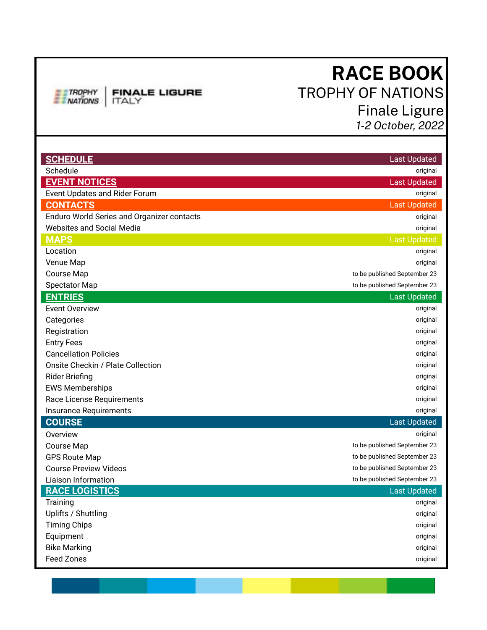# **RACE BOOK**  TROPHY OF NATIONS Finale Ligure

 *1-2 October, 2022* 

| <b>SCHEDULE</b>                            | <b>Last Updated</b>          |
|--------------------------------------------|------------------------------|
| Schedule                                   | original                     |
| <b>EVENT NOTICES</b>                       | <b>Last Updated</b>          |
| Event Updates and Rider Forum              | original                     |
| <b>CONTACTS</b>                            | <b>Last Updated</b>          |
| Enduro World Series and Organizer contacts | original                     |
| <b>Websites and Social Media</b>           | original                     |
| <b>MAPS</b>                                | <b>Last Updated</b>          |
| Location                                   | original                     |
| Venue Map                                  | original                     |
| <b>Course Map</b>                          | to be published September 23 |
| <b>Spectator Map</b>                       | to be published September 23 |
| <b>ENTRIES</b>                             | <b>Last Updated</b>          |
| <b>Event Overview</b>                      | original                     |
| Categories                                 | original                     |
| Registration                               | original                     |
| <b>Entry Fees</b>                          | original                     |
| <b>Cancellation Policies</b>               | original                     |
| Onsite Checkin / Plate Collection          | original                     |
| <b>Rider Briefing</b>                      | original                     |
| <b>EWS Memberships</b>                     | original                     |
| Race License Requirements                  | original                     |
| Insurance Requirements                     | original                     |
| <b>COURSE</b>                              | <b>Last Updated</b>          |
| Overview                                   | original                     |
| <b>Course Map</b>                          | to be published September 23 |
| <b>GPS Route Map</b>                       | to be published September 23 |
| <b>Course Preview Videos</b>               | to be published September 23 |
| Liaison Information                        | to be published September 23 |
| <b>RACE LOGISTICS</b>                      | <b>Last Updated</b>          |
| Training                                   | original                     |
| Uplifts / Shuttling                        | original                     |
| <b>Timing Chips</b>                        | original                     |
| Equipment                                  | original                     |
| <b>Bike Marking</b>                        | original                     |
| <b>Feed Zones</b>                          | original                     |

<span id="page-0-0"></span>**TROPHY**<br>NATIONS

**FINALE LIGURE**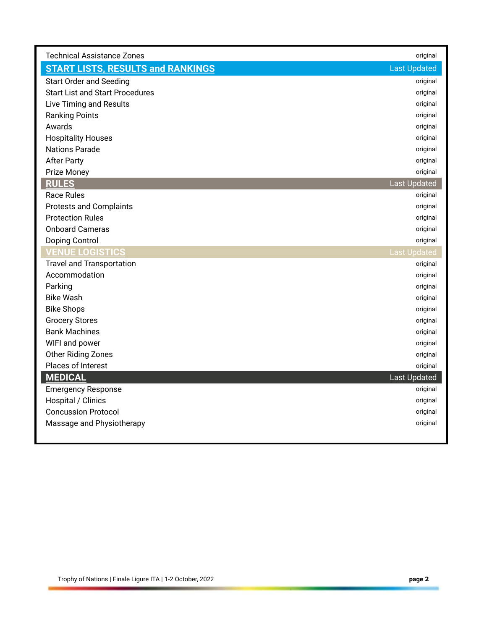| <b>Technical Assistance Zones</b>        | original            |
|------------------------------------------|---------------------|
| <b>START LISTS, RESULTS and RANKINGS</b> | <b>Last Updated</b> |
| <b>Start Order and Seeding</b>           | original            |
| <b>Start List and Start Procedures</b>   | original            |
| Live Timing and Results                  | original            |
| <b>Ranking Points</b>                    | original            |
| Awards                                   | original            |
| <b>Hospitality Houses</b>                | original            |
| <b>Nations Parade</b>                    | original            |
| <b>After Party</b>                       | original            |
| Prize Money                              | original            |
| <b>RULES</b>                             | <b>Last Updated</b> |
| <b>Race Rules</b>                        | original            |
| <b>Protests and Complaints</b>           | original            |
| <b>Protection Rules</b>                  | original            |
| <b>Onboard Cameras</b>                   | original            |
| Doping Control                           | original            |
| <b>VENUE LOGISTICS</b>                   | <b>Last Updated</b> |
| <b>Travel and Transportation</b>         | original            |
| Accommodation                            | original            |
| Parking                                  | original            |
| <b>Bike Wash</b>                         | original            |
| <b>Bike Shops</b>                        | original            |
| <b>Grocery Stores</b>                    | original            |
| <b>Bank Machines</b>                     | original            |
| WIFI and power                           | original            |
| <b>Other Riding Zones</b>                | original            |
| Places of Interest                       | original            |
| <b>MEDICAL</b>                           | Last Updated        |
| <b>Emergency Response</b>                | original            |
| Hospital / Clinics                       | original            |
| <b>Concussion Protocol</b>               | original            |
| Massage and Physiotherapy                | original            |
|                                          |                     |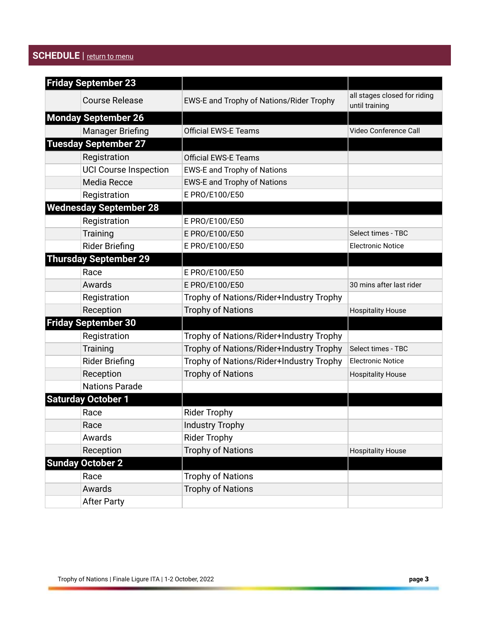## <span id="page-2-0"></span>**SCHEDULE** | <u>return to menu</u>

| <b>Friday September 23</b>    |                                          |                                                |
|-------------------------------|------------------------------------------|------------------------------------------------|
| <b>Course Release</b>         | EWS-E and Trophy of Nations/Rider Trophy | all stages closed for riding<br>until training |
| <b>Monday September 26</b>    |                                          |                                                |
| <b>Manager Briefing</b>       | <b>Official EWS-E Teams</b>              | Video Conference Call                          |
| <b>Tuesday September 27</b>   |                                          |                                                |
| Registration                  | <b>Official EWS-E Teams</b>              |                                                |
| <b>UCI Course Inspection</b>  | <b>EWS-E and Trophy of Nations</b>       |                                                |
| <b>Media Recce</b>            | <b>EWS-E and Trophy of Nations</b>       |                                                |
| Registration                  | E PRO/E100/E50                           |                                                |
| <b>Wednesday September 28</b> |                                          |                                                |
| Registration                  | E PRO/E100/E50                           |                                                |
| Training                      | E PRO/E100/E50                           | Select times - TBC                             |
| <b>Rider Briefing</b>         | E PRO/E100/E50                           | <b>Electronic Notice</b>                       |
| <b>Thursday September 29</b>  |                                          |                                                |
| Race                          | E PRO/E100/E50                           |                                                |
| Awards                        | E PRO/E100/E50                           | 30 mins after last rider                       |
| Registration                  | Trophy of Nations/Rider+Industry Trophy  |                                                |
| Reception                     | <b>Trophy of Nations</b>                 | <b>Hospitality House</b>                       |
| <b>Friday September 30</b>    |                                          |                                                |
| Registration                  | Trophy of Nations/Rider+Industry Trophy  |                                                |
| Training                      | Trophy of Nations/Rider+Industry Trophy  | Select times - TBC                             |
| <b>Rider Briefing</b>         | Trophy of Nations/Rider+Industry Trophy  | <b>Electronic Notice</b>                       |
| Reception                     | <b>Trophy of Nations</b>                 | <b>Hospitality House</b>                       |
| <b>Nations Parade</b>         |                                          |                                                |
| <b>Saturday October 1</b>     |                                          |                                                |
| Race                          | <b>Rider Trophy</b>                      |                                                |
| Race                          | <b>Industry Trophy</b>                   |                                                |
| Awards                        | <b>Rider Trophy</b>                      |                                                |
| Reception                     | <b>Trophy of Nations</b>                 | <b>Hospitality House</b>                       |
| <b>Sunday October 2</b>       |                                          |                                                |
| Race                          | <b>Trophy of Nations</b>                 |                                                |
| Awards                        | <b>Trophy of Nations</b>                 |                                                |
| <b>After Party</b>            |                                          |                                                |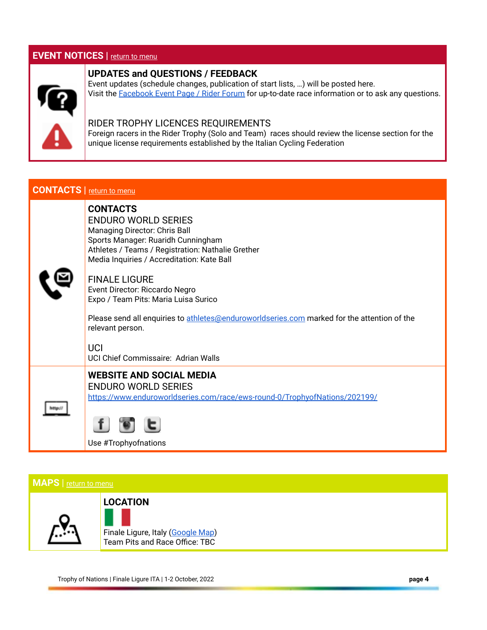### <span id="page-3-0"></span>**EVENT NOTICES** | return to menu



## **UPDATES and QUESTIONS / FEEDBACK**

 Event updates (schedule changes, publication of start lists, …) will be posted here. Visit the [Facebook Event Page / Rider Forum](https://www.facebook.com/events/438110104225809?acontext=%7B%22action_history%22%3A[%7B%22surface%22%3A%22page%22%2C%22mechanism%22%3A%22page_admin_bar%22%2C%22extra_data%22%3A%22%7B%5C%22page_id%5C%22%3A193009850836051%7D%22%7D%2C%7B%22surface%22%3A%22events_admin_tool%22%2C%22mechanism%22%3A%22recommended_actions%22%2C%22extra_data%22%3A%22[]%22%7D]%2C%22has_source%22%3Atrue%7D) for up-to-date race information or to ask any questions.

#### RIDER TROPHY LICENCES REQUIREMENTS

 Foreign racers in the Rider Trophy (Solo and Team) races should review the license section for the unique license requirements established by the Italian Cycling Federation

#### <span id="page-3-1"></span> **CONTACTS |** [return to menu](#page-0-0)

#### **CONTACTS**

 ENDURO WORLD SERIES Managing Director: Chris Ball Sports Manager: Ruaridh Cunningham Athletes / Teams / Registration: Nathalie Grether Media Inquiries / Accreditation: Kate Ball



#### FINALE LIGURE

 Event Director: Riccardo Negro Expo / Team Pits: Maria Luisa Surico

Please send all enquiries to [athletes@enduroworldseries.com](mailto:athletes@enduroworldseries.com) marked for the attention of the relevant person.

 UCI UCI Chief Commissaire: Adrian Walls

#### **WEBSITE AND SOCIAL MEDIA**  ENDURO WORLD SERIES

<https://www.enduroworldseries.com/race/ews-round-0/TrophyofNations/202199/>





#### <span id="page-3-2"></span>**MAPS** | [return to menu](#page-0-0)



 **LOCATION**  Finale Ligure, Italy ([Google Map](https://www.google.com/maps/place/Edilcasa/@44.1696389,8.3451424,18z/data=!3m1!4b1!4m13!1m7!3m6!1s0x12d2fa2f779a7221:0xf64560ab17a5f16!2s17024+Finale+Ligure,+Province+of+Savona,+Italy!3b1!8m2!3d44.1689028!4d8.3416211!3m4!1s0x12d2f1549007dad7:0x2ce64ca9f1e4e35!8m2!3d44.1696389!4d8.3462367)) Team Pits and Race Office: TBC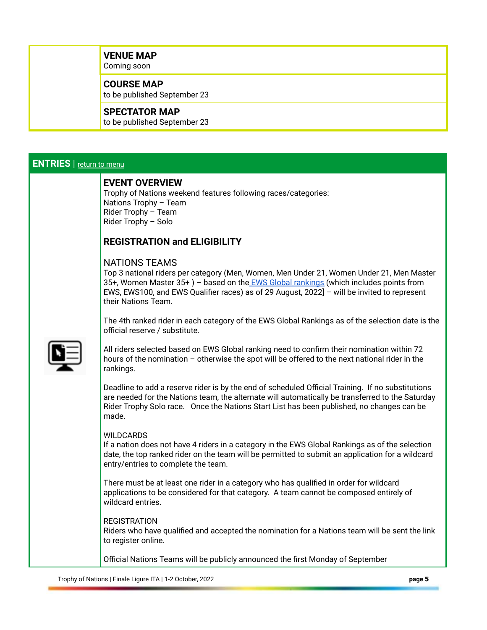## **VENUE MAP**

Coming soon

#### **COURSE MAP**

to be published September 23

#### **SPECTATOR MAP**

to be published September 23

#### <span id="page-4-0"></span> **ENTRIES** | [return to menu](#page-0-0)

#### **EVENT OVERVIEW**

 Trophy of Nations weekend features following races/categories: Nations Trophy – Team Rider Trophy – Team Rider Trophy – Solo

## **REGISTRATION and ELIGIBILITY**

#### NATIONS TEAMS

 Top 3 national riders per category (Men, Women, Men Under 21, Women Under 21, Men Master 35+, Women Master  $35+$  ) – based on the **EWS Global rankings** (which includes points from EWS, EWS100, and EWS Qualifier races) as of 29 August, 2022] – will be invited to represent their Nations Team.

 The 4th ranked rider in each category of the EWS Global Rankings as of the selection date is the official reserve / substitute.

 All riders selected based on EWS Global ranking need to confirm their nomination within 72 hours of the nomination – otherwise the spot will be offered to the next national rider in the rankings.

 Deadline to add a reserve rider is by the end of scheduled Official Training. If no substitutions are needed for the Nations team, the alternate will automatically be transferred to the Saturday Rider Trophy Solo race. Once the Nations Start List has been published, no changes can be made.

#### WILDCARDS

 If a nation does not have 4 riders in a category in the EWS Global Rankings as of the selection date, the top ranked rider on the team will be permitted to submit an application for a wildcard entry/entries to complete the team.

 There must be at least one rider in a category who has qualified in order for wildcard applications to be considered for that category. A team cannot be composed entirely of wildcard entries.

#### **REGISTRATION**

 Riders who have qualified and accepted the nomination for a Nations team will be sent the link to register online.

Official Nations Teams will be publicly announced the first Monday of September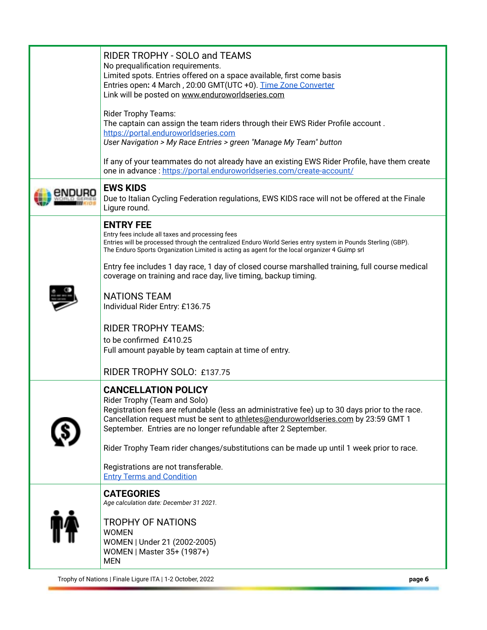| RIDER TROPHY - SOLO and TEAMS<br>No prequalification requirements.<br>Limited spots. Entries offered on a space available, first come basis<br>Entries open: 4 March, 20:00 GMT(UTC +0). Time Zone Converter<br>Link will be posted on www.enduroworldseries.com<br><b>Rider Trophy Teams:</b><br>The captain can assign the team riders through their EWS Rider Profile account.<br>https://portal.enduroworldseries.com<br>User Navigation > My Race Entries > green "Manage My Team" button<br>If any of your teammates do not already have an existing EWS Rider Profile, have them create |
|------------------------------------------------------------------------------------------------------------------------------------------------------------------------------------------------------------------------------------------------------------------------------------------------------------------------------------------------------------------------------------------------------------------------------------------------------------------------------------------------------------------------------------------------------------------------------------------------|
| one in advance: https://portal.enduroworldseries.com/create-account/                                                                                                                                                                                                                                                                                                                                                                                                                                                                                                                           |
| <b>EWS KIDS</b><br>Due to Italian Cycling Federation regulations, EWS KIDS race will not be offered at the Finale<br>Ligure round.                                                                                                                                                                                                                                                                                                                                                                                                                                                             |
| <b>ENTRY FEE</b><br>Entry fees include all taxes and processing fees<br>Entries will be processed through the centralized Enduro World Series entry system in Pounds Sterling (GBP).<br>The Enduro Sports Organization Limited is acting as agent for the local organizer 4 Guimp srl                                                                                                                                                                                                                                                                                                          |
| Entry fee includes 1 day race, 1 day of closed course marshalled training, full course medical<br>coverage on training and race day, live timing, backup timing.                                                                                                                                                                                                                                                                                                                                                                                                                               |
| <b>NATIONS TEAM</b><br>Individual Rider Entry: £136.75                                                                                                                                                                                                                                                                                                                                                                                                                                                                                                                                         |
| <b>RIDER TROPHY TEAMS:</b>                                                                                                                                                                                                                                                                                                                                                                                                                                                                                                                                                                     |
| to be confirmed £410.25<br>Full amount payable by team captain at time of entry.                                                                                                                                                                                                                                                                                                                                                                                                                                                                                                               |
| RIDER TROPHY SOLO: £137.75                                                                                                                                                                                                                                                                                                                                                                                                                                                                                                                                                                     |
| <b>CANCELLATION POLICY</b><br>Rider Trophy (Team and Solo)<br>Registration fees are refundable (less an administrative fee) up to 30 days prior to the race.<br>Cancellation request must be sent to athletes@enduroworldseries.com by 23:59 GMT 1<br>September. Entries are no longer refundable after 2 September.<br>Rider Trophy Team rider changes/substitutions can be made up until 1 week prior to race.                                                                                                                                                                               |
| Registrations are not transferable.<br><b>Entry Terms and Condition</b>                                                                                                                                                                                                                                                                                                                                                                                                                                                                                                                        |
| <b>CATEGORIES</b><br>Age calculation date: December 31 2021.                                                                                                                                                                                                                                                                                                                                                                                                                                                                                                                                   |
| <b>TROPHY OF NATIONS</b><br><b>WOMEN</b><br>WOMEN   Under 21 (2002-2005)<br>WOMEN   Master 35+ (1987+)<br><b>MEN</b>                                                                                                                                                                                                                                                                                                                                                                                                                                                                           |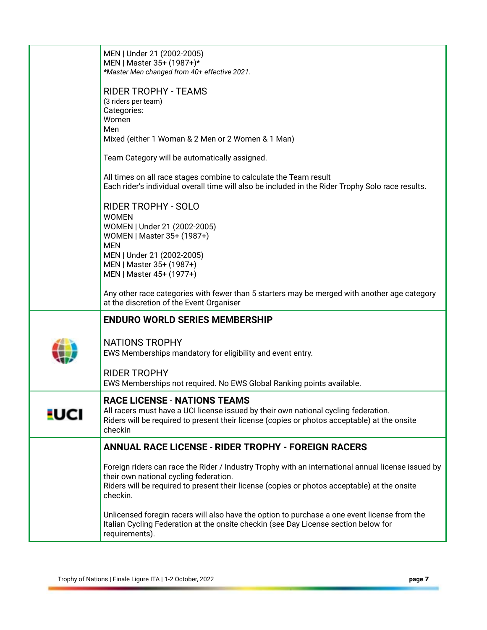|              | MEN   Under 21 (2002-2005)<br>MEN   Master 35+ (1987+)*<br>*Master Men changed from 40+ effective 2021.                                                                                                                                                  |
|--------------|----------------------------------------------------------------------------------------------------------------------------------------------------------------------------------------------------------------------------------------------------------|
|              | <b>RIDER TROPHY - TEAMS</b><br>(3 riders per team)<br>Categories:<br>Women<br>Men<br>Mixed (either 1 Woman & 2 Men or 2 Women & 1 Man)                                                                                                                   |
|              | Team Category will be automatically assigned.                                                                                                                                                                                                            |
|              | All times on all race stages combine to calculate the Team result<br>Each rider's individual overall time will also be included in the Rider Trophy Solo race results.                                                                                   |
|              | <b>RIDER TROPHY - SOLO</b><br><b>WOMEN</b><br>WOMEN   Under 21 (2002-2005)<br>WOMEN   Master 35+ (1987+)<br><b>MEN</b><br>MEN   Under 21 (2002-2005)<br>MEN   Master 35+ (1987+)<br>MEN   Master 45+ (1977+)                                             |
|              | Any other race categories with fewer than 5 starters may be merged with another age category<br>at the discretion of the Event Organiser                                                                                                                 |
|              | <b>ENDURO WORLD SERIES MEMBERSHIP</b>                                                                                                                                                                                                                    |
|              | <b>NATIONS TROPHY</b><br>EWS Memberships mandatory for eligibility and event entry.<br><b>RIDER TROPHY</b><br>EWS Memberships not required. No EWS Global Ranking points available.                                                                      |
| <u>-</u> UCI | <b>RACE LICENSE - NATIONS TEAMS</b><br>All racers must have a UCI license issued by their own national cycling federation.<br>Riders will be required to present their license (copies or photos acceptable) at the onsite<br>checkin                    |
|              | <b>ANNUAL RACE LICENSE - RIDER TROPHY - FOREIGN RACERS</b>                                                                                                                                                                                               |
|              | Foreign riders can race the Rider / Industry Trophy with an international annual license issued by<br>their own national cycling federation.<br>Riders will be required to present their license (copies or photos acceptable) at the onsite<br>checkin. |
|              | Unlicensed foregin racers will also have the option to purchase a one event license from the<br>Italian Cycling Federation at the onsite checkin (see Day License section below for<br>requirements).                                                    |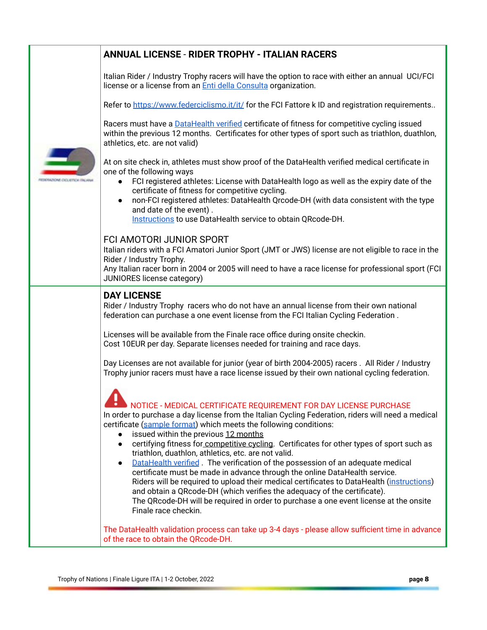## **ANNUAL LICENSE** - **RIDER TROPHY - ITALIAN RACERS**

 Italian Rider / Industry Trophy racers will have the option to race with either an annual UCI/FCI license or a license from an [Enti della Consulta](https://amatoriale.federciclismo.it/it/infopage/composizione-della-consulta-nazionale-di-ciclismo/e3911128-2186-44ab-9f3c-a0338128bde6/) organization.

Refer to https://www.federciclismo.it/it/</u> for the FCI Fattore k ID and registration requirements..

 Racers must have a [DataHealth verified](http://www.datahealth.it/) certificate of fitness for competitive cycling issued within the previous 12 months. Certificates for other types of sport such as triathlon, duathlon, athletics, etc. are not valid)

| At on site check in, athletes must show proof of the DataHealth verified medical certificate in |  |  |  |  |
|-------------------------------------------------------------------------------------------------|--|--|--|--|
| one of the following ways                                                                       |  |  |  |  |
|                                                                                                 |  |  |  |  |

- FCI registered athletes: License with DataHealth logo as well as the expiry date of the certificate of fitness for competitive cycling.
- non-FCI registered athletes: DataHealth Qrcode-DH (with data consistent with the type and date of the event) .

 [Instructions](https://www.datahealth.it//Documents/GetFile/Flyer_2_-_informativa_DH_-_per_atleti_e_organizzatori_pdf) to use DataHealth service to obtain QRcode-DH.

#### FCI AMOTORI JUNIOR SPORT

 Italian riders with a FCI Amatori Junior Sport (JMT or JWS) license are not eligible to race in the Rider / Industry Trophy.

 Any Italian racer born in 2004 or 2005 will need to have a race license for professional sport (FCI JUNIORES license category)

#### **DAY LICENSE**

 Rider / Industry Trophy racers who do not have an annual license from their own national federation can purchase a one event license from the FCI Italian Cycling Federation .

 Licenses will be available from the Finale race office during onsite checkin. Cost 10EUR per day. Separate licenses needed for training and race days.

 Day Licenses are not available for junior (year of birth 2004-2005) racers . All Rider / Industry Trophy junior racers must have a race license issued by their own national cycling federation.

#### NOTICE - MEDICAL CERTIFICATE REQUIREMENT FOR DAY LICENSE PURCHASE

 In order to purchase a day license from the Italian Cycling Federation, riders will need a medical certificate ([sample format\)](https://www.datahealth.it//Documents/GetFile/Certificato_per_soggetti_di_residenza_straniera_-_CICLISMO_pdf) which meets the following conditions:

- issued within the previous 12 months
- certifying fitness for competitive cycling. Certificates for other types of sport such as triathlon, duathlon, athletics, etc. are not valid.
- [DataHealth verified](https://www.datahealth.it/) . The verification of the possession of an adequate medical certificate must be made in advance through the online DataHealth service. Riders will be required to upload their medical certificates to DataHealth ([instructions](https://www.datahealth.it//Documents/GetFile/Flyer_2_-_informativa_DH_-_per_atleti_e_organizzatori_pdf)) and obtain a QRcode-DH (which verifies the adequacy of the certificate). The QRcode-DH will be required in order to purchase a one event license at the onsite Finale race checkin.

 The DataHealth validation process can take up 3-4 days - please allow sufficient time in advance of the race to obtain the QRcode-DH.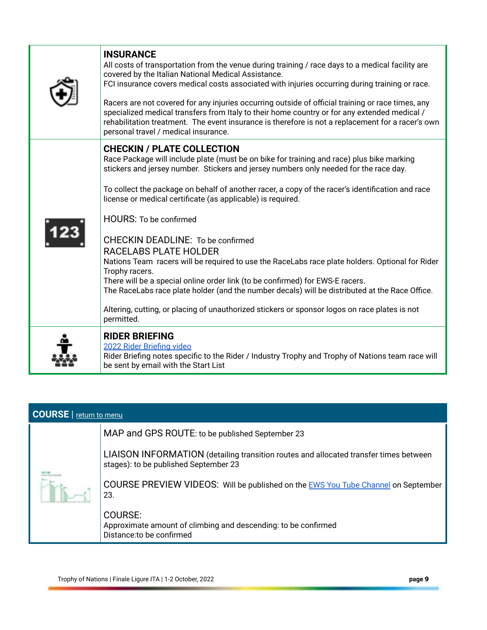|  | <b>INSURANCE</b><br>All costs of transportation from the venue during training / race days to a medical facility are<br>covered by the Italian National Medical Assistance.<br>FCI insurance covers medical costs associated with injuries occurring during training or race.                                                                                                              |
|--|--------------------------------------------------------------------------------------------------------------------------------------------------------------------------------------------------------------------------------------------------------------------------------------------------------------------------------------------------------------------------------------------|
|  | Racers are not covered for any injuries occurring outside of official training or race times, any<br>specialized medical transfers from Italy to their home country or for any extended medical /<br>rehabilitation treatment. The event insurance is therefore is not a replacement for a racer's own<br>personal travel / medical insurance.                                             |
|  | <b>CHECKIN / PLATE COLLECTION</b><br>Race Package will include plate (must be on bike for training and race) plus bike marking<br>stickers and jersey number. Stickers and jersey numbers only needed for the race day.<br>To collect the package on behalf of another racer, a copy of the racer's identification and race<br>license or medical certificate (as applicable) is required. |
|  | <b>HOURS: To be confirmed</b><br><b>CHECKIN DEADLINE: To be confirmed</b><br>RACELABS PLATE HOLDER<br>Nations Team racers will be required to use the RaceLabs race plate holders. Optional for Rider<br>Trophy racers.                                                                                                                                                                    |
|  | There will be a special online order link (to be confirmed) for EWS-E racers.<br>The RaceLabs race plate holder (and the number decals) will be distributed at the Race Office.<br>Altering, cutting, or placing of unauthorized stickers or sponsor logos on race plates is not<br>permitted.                                                                                             |
|  | <b>RIDER BRIEFING</b><br>2022 Rider Briefing video<br>Rider Briefing notes specific to the Rider / Industry Trophy and Trophy of Nations team race will<br>be sent by email with the Start List                                                                                                                                                                                            |

<span id="page-8-0"></span>

| <b>COURSE</b>   return to menu |                                                                                                                                |  |
|--------------------------------|--------------------------------------------------------------------------------------------------------------------------------|--|
|                                | MAP and GPS ROUTE: to be published September 23                                                                                |  |
|                                | LIAISON INFORMATION (detailing transition routes and allocated transfer times between<br>stages): to be published September 23 |  |
|                                | COURSE PREVIEW VIDEOS: Will be published on the <b>EWS You Tube Channel</b> on September<br>23.                                |  |
|                                | <b>COURSE:</b><br>Approximate amount of climbing and descending: to be confirmed<br>Distance: to be confirmed                  |  |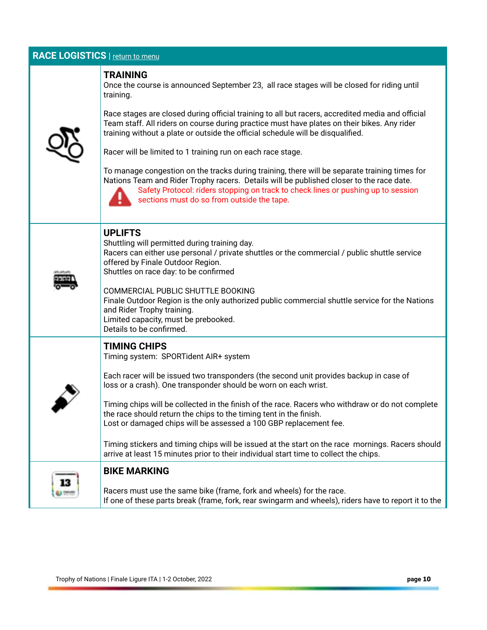## <span id="page-9-0"></span>**RACE LOGISTICS** | [return to menu](#page-0-0)

#### **TRAINING**

 Once the course is announced September 23, all race stages will be closed for riding until training.



 Race stages are closed during official training to all but racers, accredited media and official Team staff. All riders on course during practice must have plates on their bikes. Any rider training without a plate or outside the official schedule will be disqualified.

Racer will be limited to 1 training run on each race stage.

 To manage congestion on the tracks during training, there will be separate training times for Nations Team and Rider Trophy racers. Details will be published closer to the race date.



 Safety Protocol: riders stopping on track to check lines or pushing up to session sections must do so from outside the tape.

| <b>UPLIFTS</b><br>Shuttling will permitted during training day.<br>Racers can either use personal / private shuttles or the commercial / public shuttle service<br>offered by Finale Outdoor Region.<br>Shuttles on race day: to be confirmed<br><b>COMMERCIAL PUBLIC SHUTTLE BOOKING</b><br>Finale Outdoor Region is the only authorized public commercial shuttle service for the Nations<br>and Rider Trophy training.<br>Limited capacity, must be prebooked.<br>Details to be confirmed.                                                                                                                                                                         |
|-----------------------------------------------------------------------------------------------------------------------------------------------------------------------------------------------------------------------------------------------------------------------------------------------------------------------------------------------------------------------------------------------------------------------------------------------------------------------------------------------------------------------------------------------------------------------------------------------------------------------------------------------------------------------|
| <b>TIMING CHIPS</b><br>Timing system: SPORTident AIR+ system<br>Each racer will be issued two transponders (the second unit provides backup in case of<br>loss or a crash). One transponder should be worn on each wrist.<br>Timing chips will be collected in the finish of the race. Racers who withdraw or do not complete<br>the race should return the chips to the timing tent in the finish.<br>Lost or damaged chips will be assessed a 100 GBP replacement fee.<br>Timing stickers and timing chips will be issued at the start on the race mornings. Racers should<br>arrive at least 15 minutes prior to their individual start time to collect the chips. |
| <b>BIKE MARKING</b><br>Racers must use the same bike (frame, fork and wheels) for the race.<br>If one of these parts break (frame, fork, rear swingarm and wheels), riders have to report it to the                                                                                                                                                                                                                                                                                                                                                                                                                                                                   |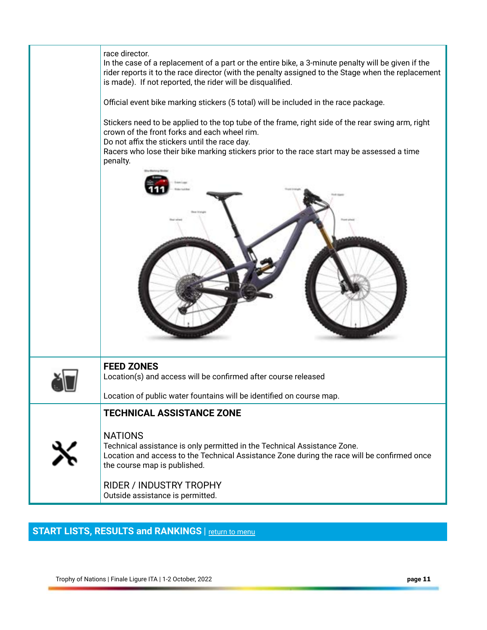

## <span id="page-10-0"></span>**START LISTS, RESULTS and RANKINGS** | return to menu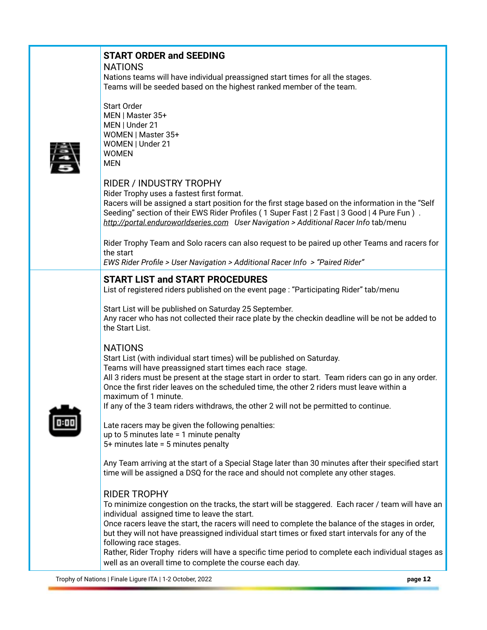## **START ORDER and SEEDING**

NATIONS

 Nations teams will have individual preassigned start times for all the stages. Teams will be seeded based on the highest ranked member of the team.

Start Order

MEN | Master 35+ MEN | Under 21 WOMEN | Master 35+ WOMEN | Under 21 WOMEN MEN

## RIDER / INDUSTRY TROPHY

Rider Trophy uses a fastest first format.

 Racers will be assigned a start position for the first stage based on the information in the "Self Seeding" section of their EWS Rider Profiles ( 1 Super Fast | 2 Fast | 3 Good | 4 Pure Fun ) .  *[http://portal.enduroworldseries.com](http://portal.enduroworldseries.com/) User Navigation > Additional Racer Info* tab/menu

 Rider Trophy Team and Solo racers can also request to be paired up other Teams and racers for the start

 *EWS Rider Profile > User Navigation > Additional Racer Info > "Paired Rider"* 

## **START LIST and START PROCEDURES**

List of registered riders published on the event page : "Participating Rider" tab/menu

 Start List will be published on Saturday 25 September. Any racer who has not collected their race plate by the checkin deadline will be not be added to the Start List.

## NATIONS

 Start List (with individual start times) will be published on Saturday. Teams will have preassigned start times each race stage. All 3 riders must be present at the stage start in order to start. Team riders can go in any order. Once the first rider leaves on the scheduled time, the other 2 riders must leave within a maximum of 1 minute.

If any of the 3 team riders withdraws, the other 2 will not be permitted to continue.



 Late racers may be given the following penalties: up to 5 minutes late = 1 minute penalty 5+ minutes late = 5 minutes penalty

 Any Team arriving at the start of a Special Stage later than 30 minutes after their specified start time will be assigned a DSQ for the race and should not complete any other stages.

## RIDER TROPHY

 To minimize congestion on the tracks, the start will be staggered. Each racer / team will have an individual assigned time to leave the start.

 Once racers leave the start, the racers will need to complete the balance of the stages in order, but they will not have preassigned individual start times or fixed start intervals for any of the following race stages.

 Rather, Rider Trophy riders will have a specific time period to complete each individual stages as well as an overall time to complete the course each day.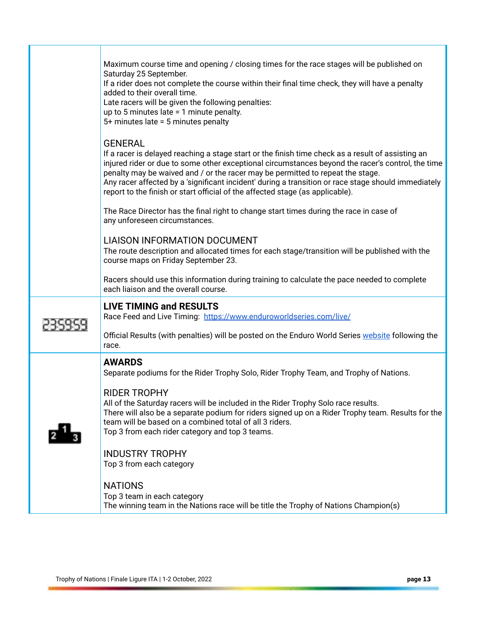| Maximum course time and opening / closing times for the race stages will be published on<br>Saturday 25 September.<br>If a rider does not complete the course within their final time check, they will have a penalty<br>added to their overall time.<br>Late racers will be given the following penalties:<br>up to 5 minutes late $= 1$ minute penalty.<br>5+ minutes late = 5 minutes penalty<br><b>GENERAL</b><br>If a racer is delayed reaching a stage start or the finish time check as a result of assisting an<br>injured rider or due to some other exceptional circumstances beyond the racer's control, the time<br>penalty may be waived and / or the racer may be permitted to repeat the stage.<br>Any racer affected by a 'significant incident' during a transition or race stage should immediately<br>report to the finish or start official of the affected stage (as applicable). |
|--------------------------------------------------------------------------------------------------------------------------------------------------------------------------------------------------------------------------------------------------------------------------------------------------------------------------------------------------------------------------------------------------------------------------------------------------------------------------------------------------------------------------------------------------------------------------------------------------------------------------------------------------------------------------------------------------------------------------------------------------------------------------------------------------------------------------------------------------------------------------------------------------------|
| The Race Director has the final right to change start times during the race in case of<br>any unforeseen circumstances.<br><b>LIAISON INFORMATION DOCUMENT</b><br>The route description and allocated times for each stage/transition will be published with the<br>course maps on Friday September 23.                                                                                                                                                                                                                                                                                                                                                                                                                                                                                                                                                                                                |
| Racers should use this information during training to calculate the pace needed to complete<br>each liaison and the overall course.                                                                                                                                                                                                                                                                                                                                                                                                                                                                                                                                                                                                                                                                                                                                                                    |
| <b>LIVE TIMING and RESULTS</b><br>Race Feed and Live Timing: https://www.enduroworldseries.com/live/<br>Official Results (with penalties) will be posted on the Enduro World Series website following the<br>race.                                                                                                                                                                                                                                                                                                                                                                                                                                                                                                                                                                                                                                                                                     |
| <b>AWARDS</b><br>Separate podiums for the Rider Trophy Solo, Rider Trophy Team, and Trophy of Nations.<br><b>RIDER TROPHY</b><br>All of the Saturday racers will be included in the Rider Trophy Solo race results.<br>There will also be a separate podium for riders signed up on a Rider Trophy team. Results for the<br>team will be based on a combined total of all 3 riders.<br>Top 3 from each rider category and top 3 teams.<br><b>INDUSTRY TROPHY</b><br>Top 3 from each category<br><b>NATIONS</b><br>Top 3 team in each category                                                                                                                                                                                                                                                                                                                                                          |

The winning team in the Nations race will be title the Trophy of Nations Champion(s)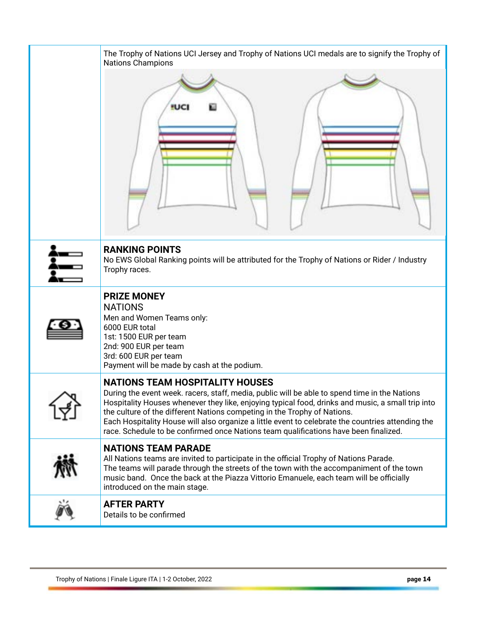| The Trophy of Nations UCI Jersey and Trophy of Nations UCI medals are to signify the Trophy of<br><b>Nations Champions</b>                                                                                                                                                                                                                                                                                                                                                                                            |  |
|-----------------------------------------------------------------------------------------------------------------------------------------------------------------------------------------------------------------------------------------------------------------------------------------------------------------------------------------------------------------------------------------------------------------------------------------------------------------------------------------------------------------------|--|
| <b>!UCI</b>                                                                                                                                                                                                                                                                                                                                                                                                                                                                                                           |  |
| <b>RANKING POINTS</b><br>No EWS Global Ranking points will be attributed for the Trophy of Nations or Rider / Industry<br>Trophy races.                                                                                                                                                                                                                                                                                                                                                                               |  |
| <b>PRIZE MONEY</b><br><b>NATIONS</b><br>Men and Women Teams only:<br>6000 EUR total<br>1st: 1500 EUR per team<br>2nd: 900 EUR per team<br>3rd: 600 EUR per team<br>Payment will be made by cash at the podium.                                                                                                                                                                                                                                                                                                        |  |
| <b>NATIONS TEAM HOSPITALITY HOUSES</b><br>During the event week. racers, staff, media, public will be able to spend time in the Nations<br>Hospitality Houses whenever they like, enjoying typical food, drinks and music, a small trip into<br>the culture of the different Nations competing in the Trophy of Nations.<br>Each Hospitality House will also organize a little event to celebrate the countries attending the<br>race. Schedule to be confirmed once Nations team qualifications have been finalized. |  |
| <b>NATIONS TEAM PARADE</b><br>All Nations teams are invited to participate in the official Trophy of Nations Parade.<br>The teams will parade through the streets of the town with the accompaniment of the town<br>music band. Once the back at the Piazza Vittorio Emanuele, each team will be officially<br>introduced on the main stage.                                                                                                                                                                          |  |
| <b>AFTER PARTY</b><br>Details to be confirmed                                                                                                                                                                                                                                                                                                                                                                                                                                                                         |  |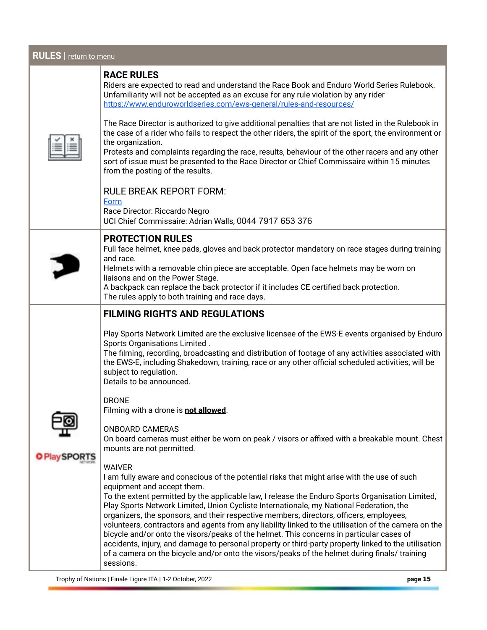#### <span id="page-14-0"></span> **RULES** | [return to menu](#page-0-0)

| <b>RACE RULES</b><br>Riders are expected to read and understand the Race Book and Enduro World Series Rulebook.<br>Unfamiliarity will not be accepted as an excuse for any rule violation by any rider<br>https://www.enduroworldseries.com/ews-general/rules-and-resources/<br>The Race Director is authorized to give additional penalties that are not listed in the Rulebook in<br>the case of a rider who fails to respect the other riders, the spirit of the sport, the environment or<br>the organization.<br>Protests and complaints regarding the race, results, behaviour of the other racers and any other<br>sort of issue must be presented to the Race Director or Chief Commissaire within 15 minutes<br>from the posting of the results.<br><b>RULE BREAK REPORT FORM:</b><br>Form<br>Race Director: Riccardo Negro<br>UCI Chief Commissaire: Adrian Walls, 0044 7917 653 376 |
|------------------------------------------------------------------------------------------------------------------------------------------------------------------------------------------------------------------------------------------------------------------------------------------------------------------------------------------------------------------------------------------------------------------------------------------------------------------------------------------------------------------------------------------------------------------------------------------------------------------------------------------------------------------------------------------------------------------------------------------------------------------------------------------------------------------------------------------------------------------------------------------------|
|                                                                                                                                                                                                                                                                                                                                                                                                                                                                                                                                                                                                                                                                                                                                                                                                                                                                                                |
| <b>PROTECTION RULES</b><br>Full face helmet, knee pads, gloves and back protector mandatory on race stages during training<br>and race.<br>Helmets with a removable chin piece are acceptable. Open face helmets may be worn on<br>liaisons and on the Power Stage.<br>A backpack can replace the back protector if it includes CE certified back protection.<br>The rules apply to both training and race days.                                                                                                                                                                                                                                                                                                                                                                                                                                                                               |
| <b>FILMING RIGHTS AND REGULATIONS</b>                                                                                                                                                                                                                                                                                                                                                                                                                                                                                                                                                                                                                                                                                                                                                                                                                                                          |
| Play Sports Network Limited are the exclusive licensee of the EWS-E events organised by Enduro<br>Sports Organisations Limited.<br>The filming, recording, broadcasting and distribution of footage of any activities associated with<br>the EWS-E, including Shakedown, training, race or any other official scheduled activities, will be<br>subject to regulation.<br>Details to be announced.                                                                                                                                                                                                                                                                                                                                                                                                                                                                                              |
| <b>DRONE</b><br>Filming with a drone is not allowed.                                                                                                                                                                                                                                                                                                                                                                                                                                                                                                                                                                                                                                                                                                                                                                                                                                           |
| <b>ONBOARD CAMERAS</b><br>On board cameras must either be worn on peak / visors or affixed with a breakable mount. Chest<br>mounts are not permitted.                                                                                                                                                                                                                                                                                                                                                                                                                                                                                                                                                                                                                                                                                                                                          |
| <b>WAIVER</b>                                                                                                                                                                                                                                                                                                                                                                                                                                                                                                                                                                                                                                                                                                                                                                                                                                                                                  |

 I am fully aware and conscious of the potential risks that might arise with the use of such equipment and accept them.

 To the extent permitted by the applicable law, I release the Enduro Sports Organisation Limited, Play Sports Network Limited, Union Cycliste Internationale, my National Federation, the organizers, the sponsors, and their respective members, directors, officers, employees, volunteers, contractors and agents from any liability linked to the utilisation of the camera on the bicycle and/or onto the visors/peaks of the helmet. This concerns in particular cases of accidents, injury, and damage to personal property or third-party property linked to the utilisation of a camera on the bicycle and/or onto the visors/peaks of the helmet during finals/ training sessions.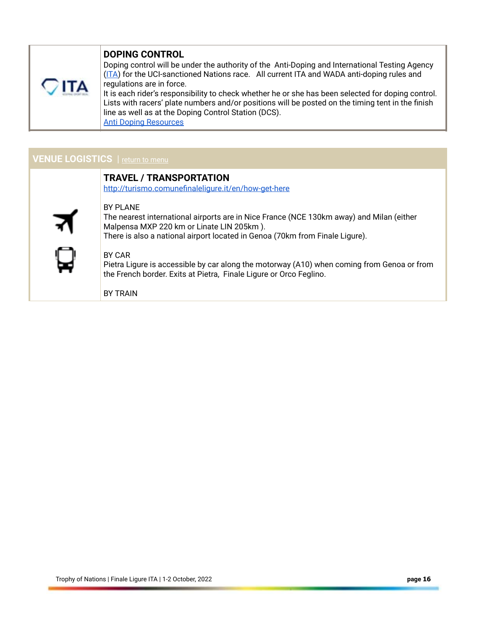## **DOPING CONTROL**



 Doping control will be under the authority of the Anti-Doping and International Testing Agency ([ITA](http://www.ita.sport/)) for the UCI-sanctioned Nations race. All current ITA and WADA anti-doping rules and regulations are in force.

 It is each rider's responsibility to check whether he or she has been selected for doping control. Lists with racers' plate numbers and/or positions will be posted on the timing tent in the finish line as well as at the Doping Control Station (DCS).  [Anti Doping Resources](https://www.enduroworldseries.com/ews-general/rules-and-resources/) 

## <span id="page-15-0"></span>**VENUE LOGISTICS** | return to menu

|                 | <b>TRAVEL / TRANSPORTATION</b><br>http://turismo.comunefinaleliqure.it/en/how-get-here                                                                                                                                |
|-----------------|-----------------------------------------------------------------------------------------------------------------------------------------------------------------------------------------------------------------------|
| BY PLANE        | The nearest international airports are in Nice France (NCE 130km away) and Milan (either<br>Malpensa MXP 220 km or Linate LIN 205km).<br>There is also a national airport located in Genoa (70km from Finale Ligure). |
| BY CAR          | Pietra Ligure is accessible by car along the motorway (A10) when coming from Genoa or from<br>the French border. Exits at Pietra, Finale Ligure or Orco Feglino.                                                      |
| <b>RV TDAIN</b> |                                                                                                                                                                                                                       |

BY TRAIN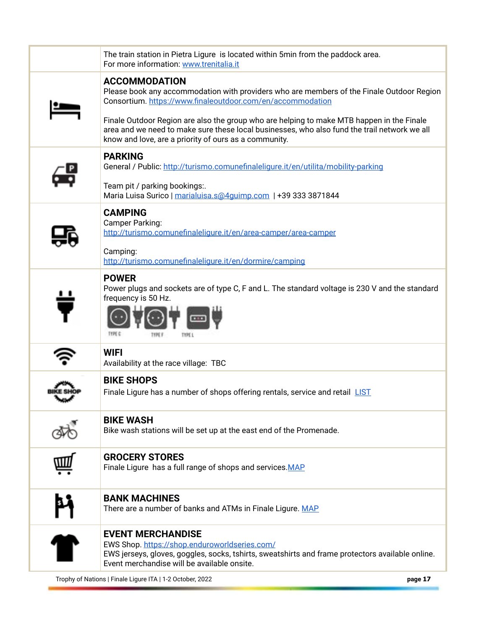|                          | The train station in Pietra Ligure is located within 5min from the paddock area.<br>For more information: www.trenitalia.it                                                                                                                        |
|--------------------------|----------------------------------------------------------------------------------------------------------------------------------------------------------------------------------------------------------------------------------------------------|
|                          | <b>ACCOMMODATION</b><br>Please book any accommodation with providers who are members of the Finale Outdoor Region<br>Consortium. https://www.finaleoutdoor.com/en/accommodation                                                                    |
|                          | Finale Outdoor Region are also the group who are helping to make MTB happen in the Finale<br>area and we need to make sure these local businesses, who also fund the trail network we all<br>know and love, are a priority of ours as a community. |
|                          | <b>PARKING</b><br>General / Public: http://turismo.comunefinaleligure.it/en/utilita/mobility-parking                                                                                                                                               |
|                          | Team pit / parking bookings:.<br>Maria Luisa Surico   marialuisa.s@4quimp.com   +39 333 3871844                                                                                                                                                    |
|                          | <b>CAMPING</b><br>Camper Parking:<br>http://turismo.comunefinaleligure.it/en/area-camper/area-camper                                                                                                                                               |
|                          | Camping:<br>http://turismo.comunefinaleligure.it/en/dormire/camping                                                                                                                                                                                |
|                          | <b>POWER</b><br>Power plugs and sockets are of type C, F and L. The standard voltage is 230 V and the standard<br>frequency is 50 Hz.<br><b>TYPE O</b>                                                                                             |
|                          | <b>WIFI</b><br>Availability at the race village: TBC                                                                                                                                                                                               |
| $\overline{\phantom{a}}$ | <b>BIKE SHOPS</b><br>Finale Ligure has a number of shops offering rentals, service and retail <b>LIST</b>                                                                                                                                          |
|                          | <b>BIKE WASH</b><br>Bike wash stations will be set up at the east end of the Promenade.                                                                                                                                                            |
|                          | <b>GROCERY STORES</b><br>Finale Ligure has a full range of shops and services. MAP                                                                                                                                                                 |
|                          | <b>BANK MACHINES</b><br>There are a number of banks and ATMs in Finale Ligure. MAP                                                                                                                                                                 |
|                          | <b>EVENT MERCHANDISE</b><br>EWS Shop. https://shop.enduroworldseries.com/<br>EWS jerseys, gloves, goggles, socks, tshirts, sweatshirts and frame protectors available online.<br>Event merchandise will be available onsite.                       |